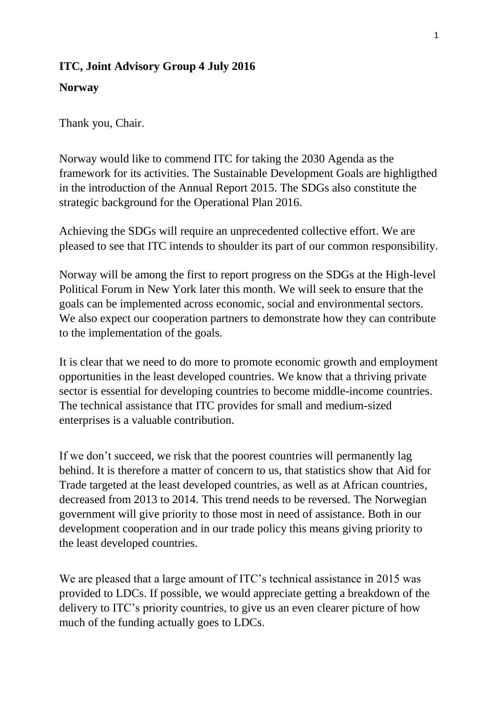## **ITC, Joint Advisory Group 4 July 2016**

## **Norway**

Thank you, Chair.

Norway would like to commend ITC for taking the 2030 Agenda as the framework for its activities. The Sustainable Development Goals are highligthed in the introduction of the Annual Report 2015. The SDGs also constitute the strategic background for the Operational Plan 2016.

Achieving the SDGs will require an unprecedented collective effort. We are pleased to see that ITC intends to shoulder its part of our common responsibility.

Norway will be among the first to report progress on the SDGs at the High-level Political Forum in New York later this month. We will seek to ensure that the goals can be implemented across economic, social and environmental sectors. We also expect our cooperation partners to demonstrate how they can contribute to the implementation of the goals.

It is clear that we need to do more to promote economic growth and employment opportunities in the least developed countries. We know that a thriving private sector is essential for developing countries to become middle-income countries. The technical assistance that ITC provides for small and medium-sized enterprises is a valuable contribution.

If we don't succeed, we risk that the poorest countries will permanently lag behind. It is therefore a matter of concern to us, that statistics show that Aid for Trade targeted at the least developed countries, as well as at African countries, decreased from 2013 to 2014. This trend needs to be reversed. The Norwegian government will give priority to those most in need of assistance. Both in our development cooperation and in our trade policy this means giving priority to the least developed countries.

We are pleased that a large amount of ITC's technical assistance in 2015 was provided to LDCs. If possible, we would appreciate getting a breakdown of the delivery to ITC's priority countries, to give us an even clearer picture of how much of the funding actually goes to LDCs.